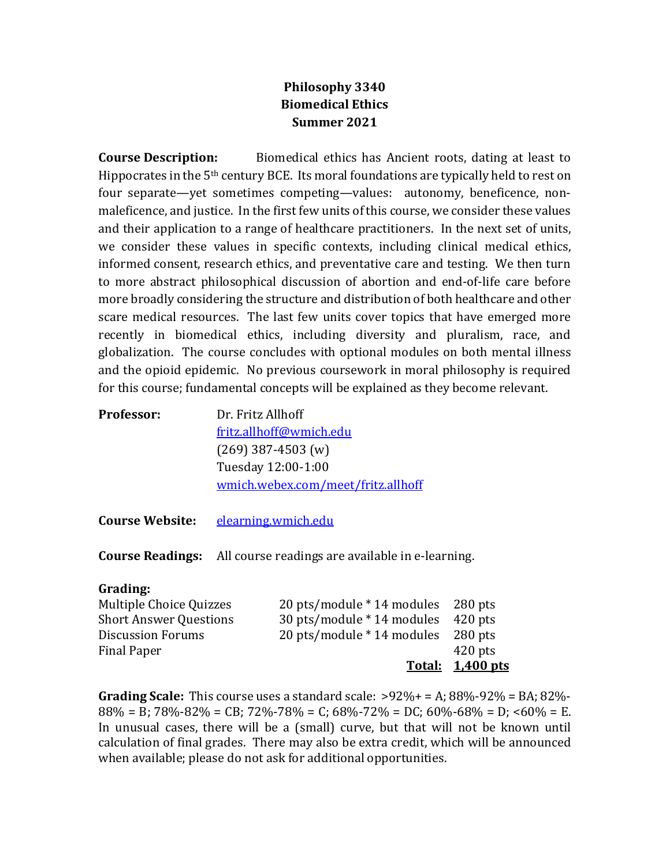## **Philosophy 3340 Biomedical Ethics Summer 2021**

**Course Description:** Biomedical ethics has Ancient roots, dating at least to Hippocrates in the  $5<sup>th</sup>$  century BCE. Its moral foundations are typically held to rest on four separate—yet sometimes competing—values: autonomy, beneficence, nonmaleficence, and justice. In the first few units of this course, we consider these values and their application to a range of healthcare practitioners. In the next set of units, we consider these values in specific contexts, including clinical medical ethics, informed consent, research ethics, and preventative care and testing. We then turn to more abstract philosophical discussion of abortion and end-of-life care before more broadly considering the structure and distribution of both healthcare and other scare medical resources. The last few units cover topics that have emerged more recently in biomedical ethics, including diversity and pluralism, race, and globalization. The course concludes with optional modules on both mental illness and the opioid epidemic. No previous coursework in moral philosophy is required for this course; fundamental concepts will be explained as they become relevant.

| <b>Professor:</b> | Dr. Fritz Allhoff                  |
|-------------------|------------------------------------|
|                   | fritz.allhoff@wmich.edu            |
|                   | $(269)$ 387-4503 (w)               |
|                   | Tuesday 12:00-1:00                 |
|                   | wmich.webex.com/meet/fritz.allhoff |
|                   |                                    |

Course Website: elearning.wmich.edu

**Course Readings:** All course readings are available in e-learning.

## **Grading:**

|                               |                                    | <u>Total: 1,400 pts</u> |
|-------------------------------|------------------------------------|-------------------------|
| <b>Final Paper</b>            |                                    | $420$ pts               |
| <b>Discussion Forums</b>      | 20 pts/module * 14 modules 280 pts |                         |
| <b>Short Answer Questions</b> | 30 pts/module * 14 modules 420 pts |                         |
| Multiple Choice Quizzes       | 20 pts/module * 14 modules 280 pts |                         |

**Grading Scale:** This course uses a standard scale:  $>92\% + 12.88\% - 92\% = BA$ ; 82%- $88\% = B$ ;  $78\% - 82\% = CB$ ;  $72\% - 78\% = C$ ;  $68\% - 72\% = DC$ ;  $60\% - 68\% = D$ ;  $60\% = E$ . In unusual cases, there will be a (small) curve, but that will not be known until calculation of final grades. There may also be extra credit, which will be announced when available; please do not ask for additional opportunities.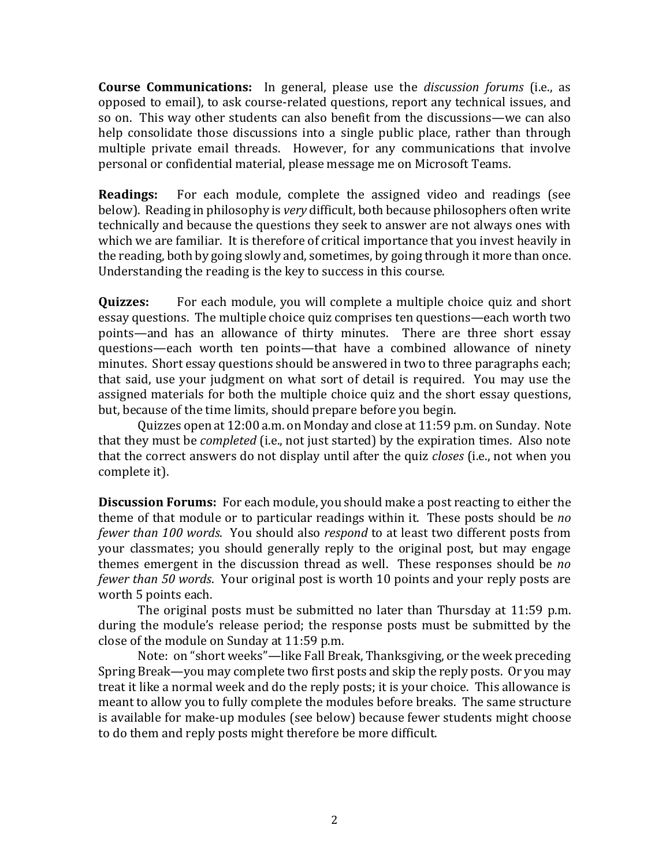**Course Communications:** In general, please use the *discussion forums* (i.e., as opposed to email), to ask course-related questions, report any technical issues, and so on. This way other students can also benefit from the discussions—we can also help consolidate those discussions into a single public place, rather than through multiple private email threads. However, for any communications that involve personal or confidential material, please message me on Microsoft Teams.

**Readings:** For each module, complete the assigned video and readings (see below). Reading in philosophy is *very* difficult, both because philosophers often write technically and because the questions they seek to answer are not always ones with which we are familiar. It is therefore of critical importance that you invest heavily in the reading, both by going slowly and, sometimes, by going through it more than once. Understanding the reading is the key to success in this course.

**Quizzes:** For each module, you will complete a multiple choice quiz and short essay questions. The multiple choice quiz comprises ten questions—each worth two points—and has an allowance of thirty minutes. There are three short essay questions—each worth ten points—that have a combined allowance of ninety minutes. Short essay questions should be answered in two to three paragraphs each; that said, use your judgment on what sort of detail is required. You may use the assigned materials for both the multiple choice quiz and the short essay questions, but, because of the time limits, should prepare before you begin.

Quizzes open at 12:00 a.m. on Monday and close at 11:59 p.m. on Sunday. Note that they must be *completed* (i.e., not just started) by the expiration times. Also note that the correct answers do not display until after the quiz *closes* (i.e., not when you complete it).

**Discussion Forums:** For each module, you should make a post reacting to either the theme of that module or to particular readings within it. These posts should be *no fewer than 100 words.* You should also *respond* to at least two different posts from your classmates; you should generally reply to the original post, but may engage themes emergent in the discussion thread as well. These responses should be *no fewer than 50 words.* Your original post is worth 10 points and your reply posts are worth 5 points each.

The original posts must be submitted no later than Thursday at 11:59 p.m. during the module's release period; the response posts must be submitted by the close of the module on Sunday at 11:59 p.m.

Note: on "short weeks"—like Fall Break, Thanksgiving, or the week preceding Spring Break—you may complete two first posts and skip the reply posts. Or you may treat it like a normal week and do the reply posts; it is your choice. This allowance is meant to allow you to fully complete the modules before breaks. The same structure is available for make-up modules (see below) because fewer students might choose to do them and reply posts might therefore be more difficult.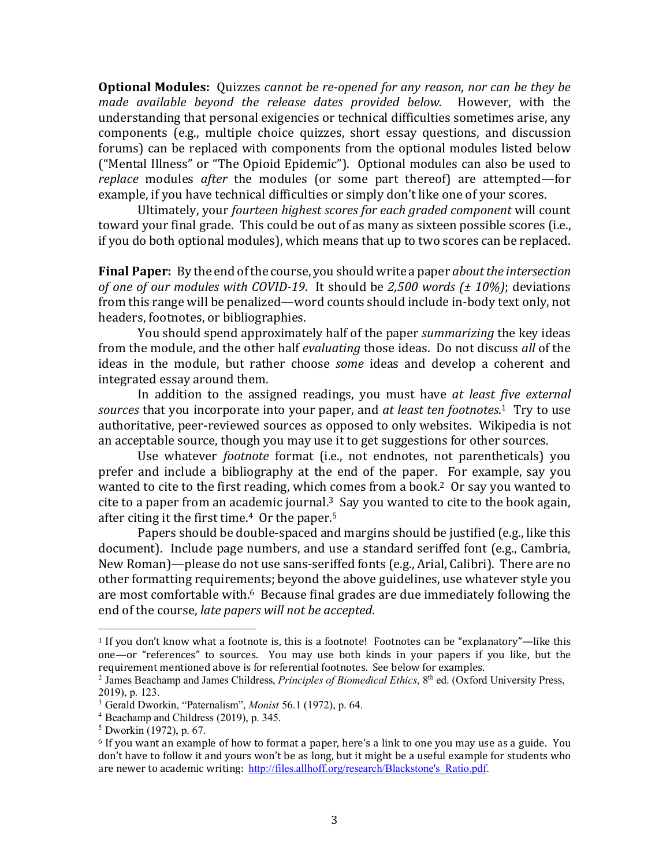**Optional Modules:** Ouizzes *cannot be re-opened for any reason, nor can be they be made available beyond the release dates provided below.* However, with the understanding that personal exigencies or technical difficulties sometimes arise, any components (e.g., multiple choice quizzes, short essay questions, and discussion forums) can be replaced with components from the optional modules listed below ("Mental Illness" or "The Opioid Epidemic"). Optional modules can also be used to *replace* modules *after* the modules (or some part thereof) are attempted—for example, if you have technical difficulties or simply don't like one of your scores.

Ultimately, your *fourteen highest scores for each graded component* will count toward your final grade. This could be out of as many as sixteen possible scores (i.e., if you do both optional modules), which means that up to two scores can be replaced.

**Final Paper:** By the end of the course, you should write a paper *about the intersection of one of our modules with COVID-19.* It should be 2,500 words ( $\pm$  10%); deviations from this range will be penalized—word counts should include in-body text only, not headers, footnotes, or bibliographies.

You should spend approximately half of the paper *summarizing* the key ideas from the module, and the other half *evaluating* those ideas. Do not discuss all of the ideas in the module, but rather choose *some* ideas and develop a coherent and integrated essay around them.

In addition to the assigned readings, you must have *at least five external* sources that you incorporate into your paper, and *at least ten footnotes*.<sup>1</sup> Try to use authoritative, peer-reviewed sources as opposed to only websites. Wikipedia is not an acceptable source, though you may use it to get suggestions for other sources.

Use whatever *footnote* format (i.e., not endnotes, not parentheticals) you prefer and include a bibliography at the end of the paper. For example, say you wanted to cite to the first reading, which comes from a book.<sup>2</sup> Or say you wanted to cite to a paper from an academic journal.<sup>3</sup> Say you wanted to cite to the book again, after citing it the first time.<sup>4</sup> Or the paper.<sup>5</sup>

Papers should be double-spaced and margins should be justified (e.g., like this document). Include page numbers, and use a standard seriffed font (e.g., Cambria, New Roman)—please do not use sans-seriffed fonts (e.g., Arial, Calibri). There are no other formatting requirements; beyond the above guidelines, use whatever style you are most comfortable with.<sup>6</sup> Because final grades are due immediately following the end of the course, *late papers* will not be accepted.

 $\overline{a}$ 

 $1$  If you don't know what a footnote is, this is a footnote! Footnotes can be "explanatory"—like this one—or "references" to sources. You may use both kinds in your papers if you like, but the requirement mentioned above is for referential footnotes. See below for examples.

<sup>&</sup>lt;sup>2</sup> James Beachamp and James Childress, *Principles of Biomedical Ethics*, 8<sup>th</sup> ed. (Oxford University Press, 2019), p. 123.

<sup>3</sup> Gerald Dworkin, "Paternalism", *Monist* 56.1 (1972), p. 64.

<sup>4</sup> Beachamp and Childress (2019), p. 345.

<sup>5</sup> Dworkin (1972), p. 67.

 $6$  If you want an example of how to format a paper, here's a link to one you may use as a guide. You don't have to follow it and yours won't be as long, but it might be a useful example for students who are newer to academic writing: http://files.allhoff.org/research/Blackstone's Ratio.pdf.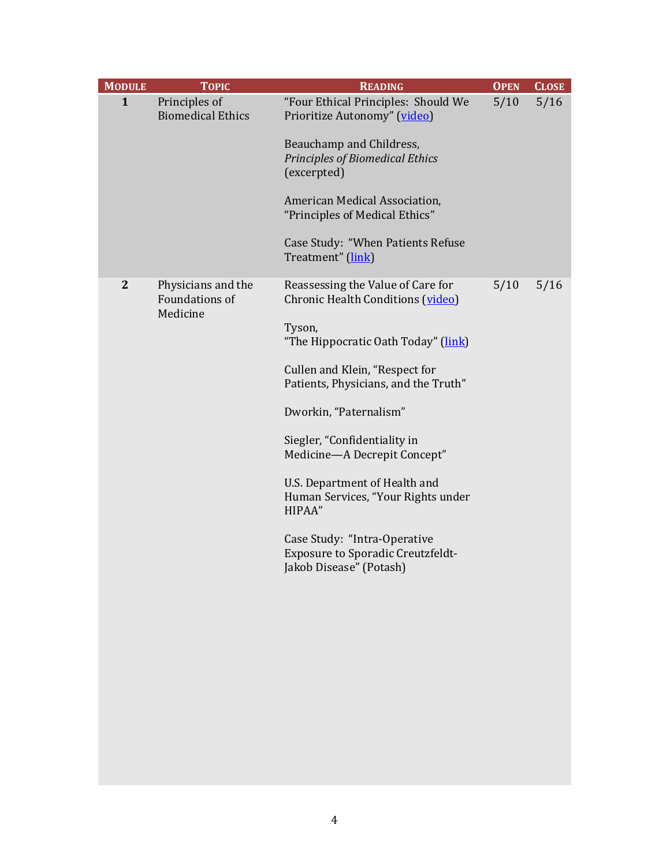| <b>MODULE</b> | <b>TOPIC</b>                                     | <b>READING</b>                                                                                                                                                                                                                                                                                                                                                                                                                                                               | <b>OPEN</b> | <b>CLOSE</b> |
|---------------|--------------------------------------------------|------------------------------------------------------------------------------------------------------------------------------------------------------------------------------------------------------------------------------------------------------------------------------------------------------------------------------------------------------------------------------------------------------------------------------------------------------------------------------|-------------|--------------|
| $\mathbf{1}$  | Principles of<br><b>Biomedical Ethics</b>        | "Four Ethical Principles: Should We<br>Prioritize Autonomy" (video)<br>Beauchamp and Childress,<br><b>Principles of Biomedical Ethics</b><br>(excerpted)<br>American Medical Association,<br>"Principles of Medical Ethics"<br>Case Study: "When Patients Refuse<br>Treatment" (link)                                                                                                                                                                                        | 5/10        | 5/16         |
| $\mathbf{2}$  | Physicians and the<br>Foundations of<br>Medicine | Reassessing the Value of Care for<br>Chronic Health Conditions (video)<br>Tyson,<br>"The Hippocratic Oath Today" (link)<br>Cullen and Klein, "Respect for<br>Patients, Physicians, and the Truth"<br>Dworkin, "Paternalism"<br>Siegler, "Confidentiality in<br>Medicine-A Decrepit Concept"<br>U.S. Department of Health and<br>Human Services, "Your Rights under<br>HIPAA"<br>Case Study: "Intra-Operative<br>Exposure to Sporadic Creutzfeldt-<br>Jakob Disease" (Potash) | 5/10        | 5/16         |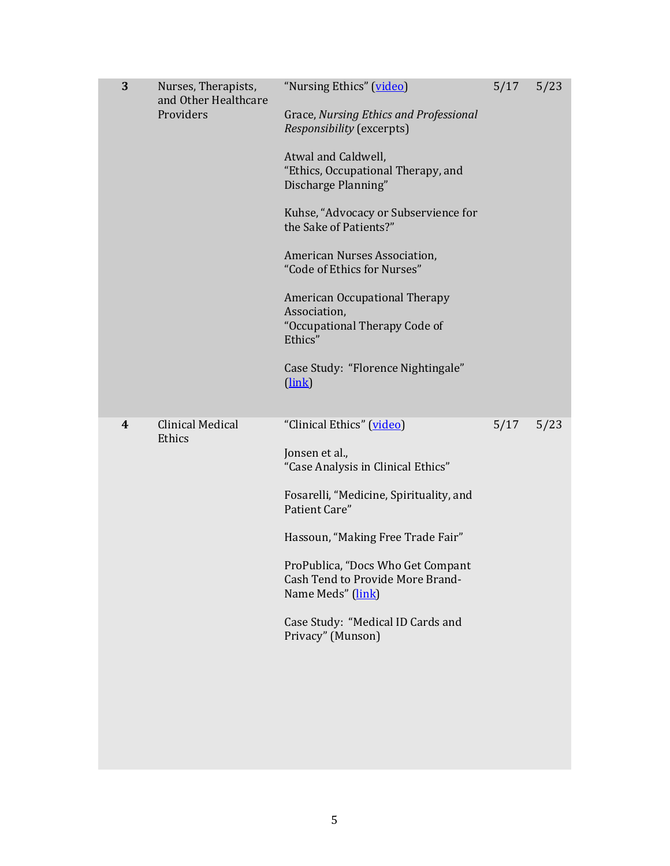| 3 | Nurses, Therapists,<br>and Other Healthcare<br>Providers | "Nursing Ethics" (video)<br>Grace, Nursing Ethics and Professional<br>Responsibility (excerpts)<br>Atwal and Caldwell,<br>"Ethics, Occupational Therapy, and<br>Discharge Planning"<br>Kuhse, "Advocacy or Subservience for<br>the Sake of Patients?"<br>American Nurses Association,<br>"Code of Ethics for Nurses"<br><b>American Occupational Therapy</b><br>Association,<br>"Occupational Therapy Code of<br>Ethics"<br>Case Study: "Florence Nightingale"<br>$(\underline{link})$ | 5/17 | 5/23 |
|---|----------------------------------------------------------|----------------------------------------------------------------------------------------------------------------------------------------------------------------------------------------------------------------------------------------------------------------------------------------------------------------------------------------------------------------------------------------------------------------------------------------------------------------------------------------|------|------|
| 4 | <b>Clinical Medical</b><br>Ethics                        | "Clinical Ethics" (video)<br>Jonsen et al.,<br>"Case Analysis in Clinical Ethics"<br>Fosarelli, "Medicine, Spirituality, and<br>Patient Care"<br>Hassoun, "Making Free Trade Fair"<br>ProPublica, "Docs Who Get Compant<br><b>Cash Tend to Provide More Brand-</b><br>Name Meds" (link)<br>Case Study: "Medical ID Cards and<br>Privacy" (Munson)                                                                                                                                      | 5/17 | 5/23 |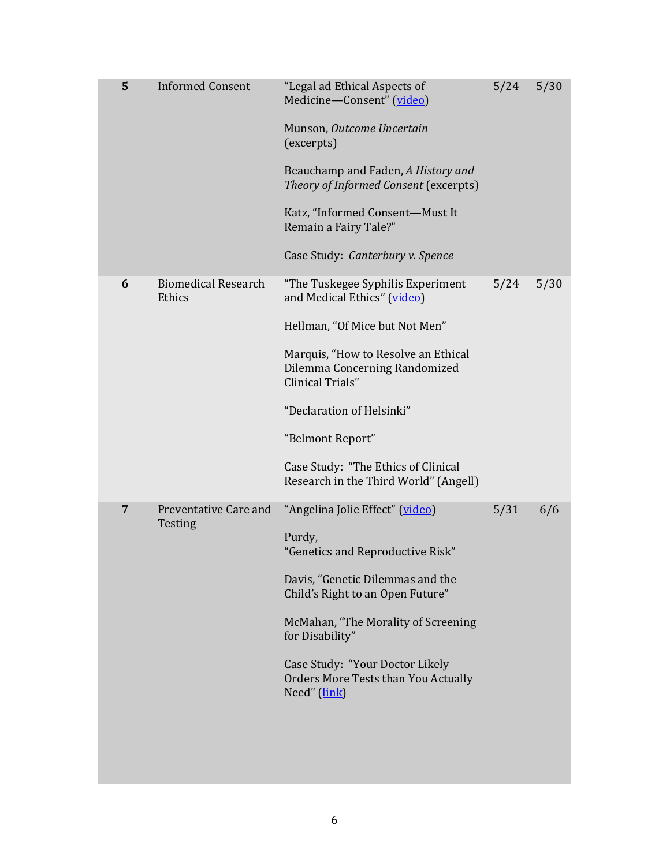| 5 | <b>Informed Consent</b>              | "Legal ad Ethical Aspects of<br>Medicine-Consent" (video)<br>Munson, Outcome Uncertain<br>(excerpts)<br>Beauchamp and Faden, A History and<br>Theory of Informed Consent (excerpts)<br>Katz, "Informed Consent-Must It<br>Remain a Fairy Tale?"<br>Case Study: Canterbury v. Spence                                             | 5/24 | 5/30 |
|---|--------------------------------------|---------------------------------------------------------------------------------------------------------------------------------------------------------------------------------------------------------------------------------------------------------------------------------------------------------------------------------|------|------|
| 6 | <b>Biomedical Research</b><br>Ethics | "The Tuskegee Syphilis Experiment<br>and Medical Ethics" (video)<br>Hellman, "Of Mice but Not Men"<br>Marquis, "How to Resolve an Ethical<br>Dilemma Concerning Randomized<br>Clinical Trials"<br>"Declaration of Helsinki"<br>"Belmont Report"<br>Case Study: "The Ethics of Clinical<br>Research in the Third World" (Angell) | 5/24 | 5/30 |
| 7 | Preventative Care and<br>Testing     | "Angelina Jolie Effect" (video)<br>Purdy,<br>"Genetics and Reproductive Risk"<br>Davis, "Genetic Dilemmas and the<br>Child's Right to an Open Future"<br>McMahan, "The Morality of Screening<br>for Disability"<br>Case Study: "Your Doctor Likely<br>Orders More Tests than You Actually<br>Need" (link)                       | 5/31 | 6/6  |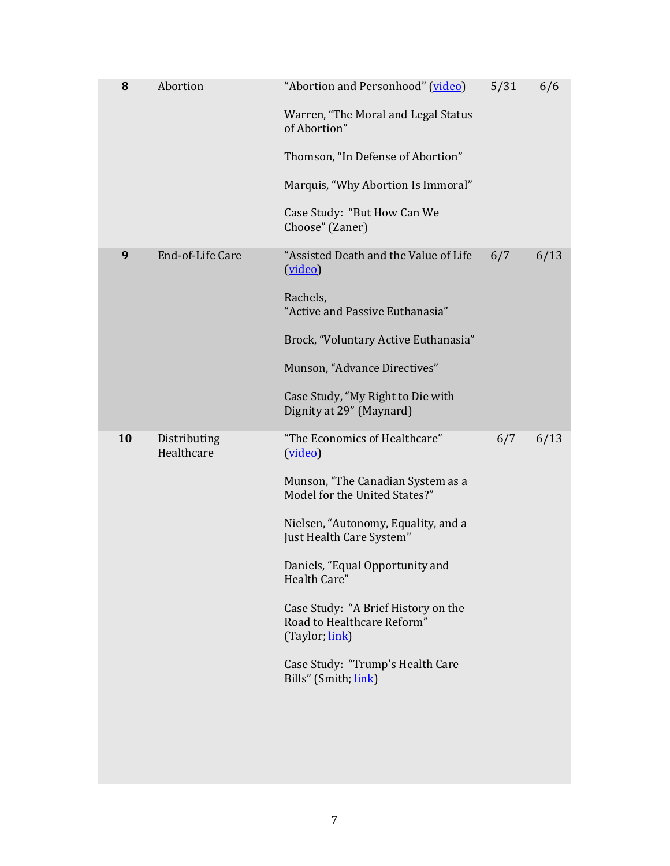| 8  | Abortion                   | "Abortion and Personhood" (video)<br>Warren, "The Moral and Legal Status<br>of Abortion"<br>Thomson, "In Defense of Abortion"<br>Marquis, "Why Abortion Is Immoral"<br>Case Study: "But How Can We<br>Choose" (Zaner)                                                                                                                                                                   | 5/31 | 6/6  |
|----|----------------------------|-----------------------------------------------------------------------------------------------------------------------------------------------------------------------------------------------------------------------------------------------------------------------------------------------------------------------------------------------------------------------------------------|------|------|
| 9  | End-of-Life Care           | "Assisted Death and the Value of Life<br>(video)<br>Rachels,<br>"Active and Passive Euthanasia"<br>Brock, "Voluntary Active Euthanasia"<br>Munson, "Advance Directives"<br>Case Study, "My Right to Die with<br>Dignity at 29" (Maynard)                                                                                                                                                | 6/7  | 6/13 |
| 10 | Distributing<br>Healthcare | "The Economics of Healthcare"<br>(video)<br>Munson, "The Canadian System as a<br>Model for the United States?"<br>Nielsen, "Autonomy, Equality, and a<br>Just Health Care System"<br>Daniels, "Equal Opportunity and<br>Health Care"<br>Case Study: "A Brief History on the<br>Road to Healthcare Reform"<br>(Taylor, link)<br>Case Study: "Trump's Health Care<br>Bills" (Smith, link) | 6/7  | 6/13 |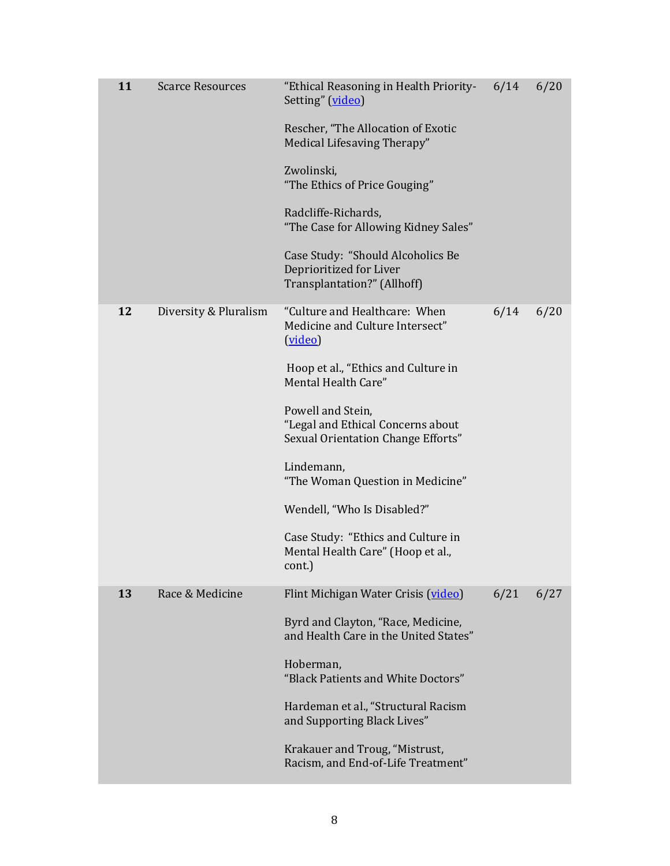| 11 | <b>Scarce Resources</b> | "Ethical Reasoning in Health Priority-<br>Setting" (video)                                   | 6/14 | 6/20 |
|----|-------------------------|----------------------------------------------------------------------------------------------|------|------|
|    |                         | Rescher, "The Allocation of Exotic<br>Medical Lifesaving Therapy"                            |      |      |
|    |                         | Zwolinski,<br>"The Ethics of Price Gouging"                                                  |      |      |
|    |                         | Radcliffe-Richards,<br>"The Case for Allowing Kidney Sales"                                  |      |      |
|    |                         | Case Study: "Should Alcoholics Be<br>Deprioritized for Liver<br>Transplantation?" (Allhoff)  |      |      |
| 12 | Diversity & Pluralism   | "Culture and Healthcare: When<br>Medicine and Culture Intersect"<br>(video)                  | 6/14 | 6/20 |
|    |                         | Hoop et al., "Ethics and Culture in<br>Mental Health Care"                                   |      |      |
|    |                         | Powell and Stein,<br>"Legal and Ethical Concerns about<br>Sexual Orientation Change Efforts" |      |      |
|    |                         | Lindemann,<br>"The Woman Question in Medicine"                                               |      |      |
|    |                         | Wendell, "Who Is Disabled?"                                                                  |      |      |
|    |                         | Case Study: "Ethics and Culture in<br>Mental Health Care" (Hoop et al.,<br>cont.)            |      |      |
| 13 | Race & Medicine         | Flint Michigan Water Crisis (video)                                                          | 6/21 | 6/27 |
|    |                         | Byrd and Clayton, "Race, Medicine,<br>and Health Care in the United States"                  |      |      |
|    |                         | Hoberman,<br>"Black Patients and White Doctors"                                              |      |      |
|    |                         | Hardeman et al., "Structural Racism<br>and Supporting Black Lives"                           |      |      |
|    |                         | Krakauer and Troug, "Mistrust,<br>Racism, and End-of-Life Treatment"                         |      |      |
|    |                         |                                                                                              |      |      |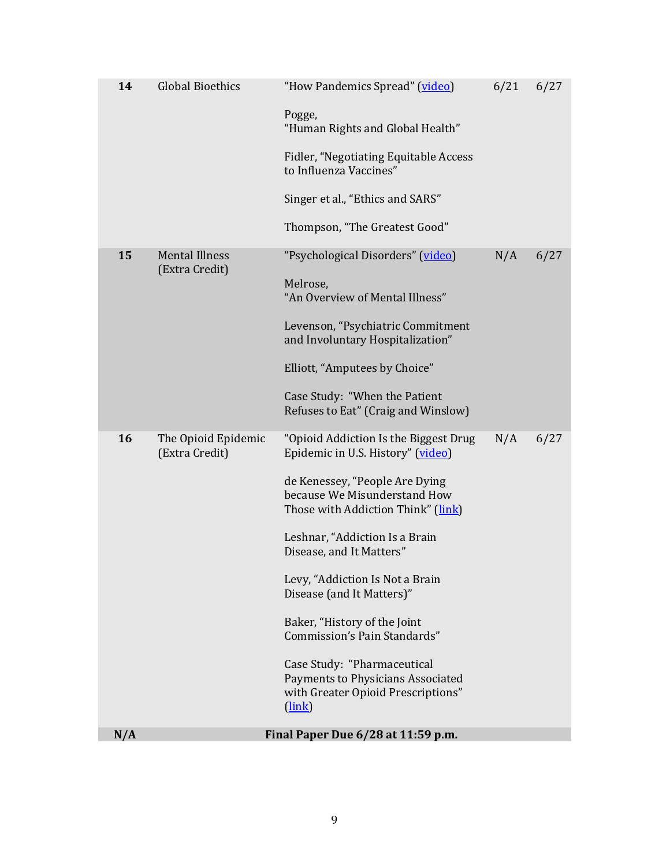| N/A |                                         | Final Paper Due 6/28 at 11:59 p.m.                                                                                          |      |      |
|-----|-----------------------------------------|-----------------------------------------------------------------------------------------------------------------------------|------|------|
|     |                                         | Case Study: "Pharmaceutical<br>Payments to Physicians Associated<br>with Greater Opioid Prescriptions"<br>$(\frac{link}{)}$ |      |      |
|     |                                         | Baker, "History of the Joint<br>Commission's Pain Standards"                                                                |      |      |
|     |                                         | Levy, "Addiction Is Not a Brain<br>Disease (and It Matters)"                                                                |      |      |
|     |                                         | Leshnar, "Addiction Is a Brain<br>Disease, and It Matters"                                                                  |      |      |
|     |                                         | de Kenessey, "People Are Dying<br>because We Misunderstand How<br>Those with Addiction Think" (link)                        |      |      |
| 16  | The Opioid Epidemic<br>(Extra Credit)   | "Opioid Addiction Is the Biggest Drug<br>Epidemic in U.S. History" (video)                                                  | N/A  | 6/27 |
|     |                                         | Case Study: "When the Patient<br>Refuses to Eat" (Craig and Winslow)                                                        |      |      |
|     |                                         | Elliott, "Amputees by Choice"                                                                                               |      |      |
|     |                                         | Levenson, "Psychiatric Commitment<br>and Involuntary Hospitalization"                                                       |      |      |
|     |                                         | Melrose,<br>"An Overview of Mental Illness"                                                                                 |      |      |
| 15  | <b>Mental Illness</b><br>(Extra Credit) | "Psychological Disorders" (video)                                                                                           | N/A  | 6/27 |
|     |                                         | Thompson, "The Greatest Good"                                                                                               |      |      |
|     |                                         | Singer et al., "Ethics and SARS"                                                                                            |      |      |
|     |                                         | Fidler, "Negotiating Equitable Access<br>to Influenza Vaccines"                                                             |      |      |
|     |                                         | Pogge,<br>"Human Rights and Global Health"                                                                                  |      |      |
| 14  | <b>Global Bioethics</b>                 | "How Pandemics Spread" (video)                                                                                              | 6/21 | 6/27 |